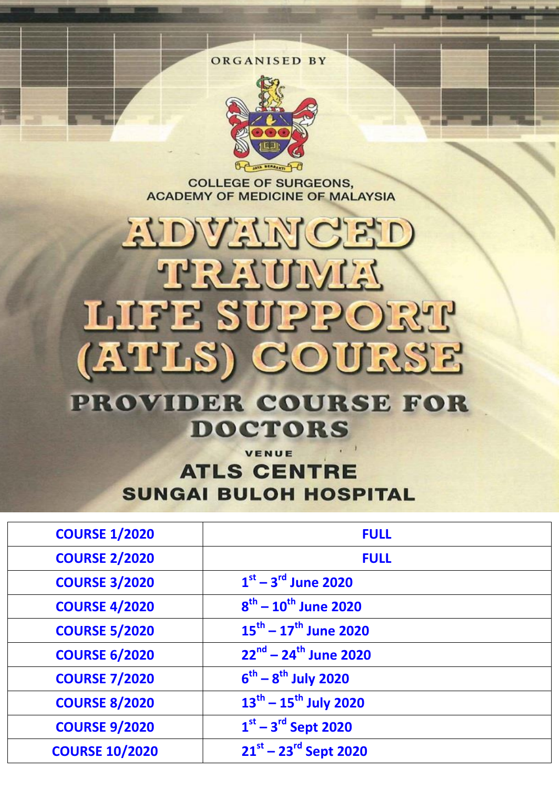

**COLLEGE OF SURGEONS. ACADEMY OF MEDICINE OF MALAYSIA** 

# EUDALEUM CELD **APRENDIVES** LUEE SUPPORT (ATLS) COURSE

**PROVIDER COURSE FOR DOCTORS** 

### VENUE **ATLS CENTRE SUNGAI BULOH HOSPITAL**

| <b>COURSE 1/2020</b>  | <b>FULL</b>                                 |
|-----------------------|---------------------------------------------|
| <b>COURSE 2/2020</b>  | <b>FULL</b>                                 |
| <b>COURSE 3/2020</b>  | $1st - 3rd$ June 2020                       |
| <b>COURSE 4/2020</b>  | $8^{th} - 10^{th}$ June 2020                |
| <b>COURSE 5/2020</b>  | $15^{\text{th}} - 17^{\text{th}}$ June 2020 |
| <b>COURSE 6/2020</b>  | $22^{nd}$ – 24 <sup>th</sup> June 2020      |
| <b>COURSE 7/2020</b>  | $6^{th} - 8^{th}$ July 2020                 |
| <b>COURSE 8/2020</b>  | $13^{th} - 15^{th}$ July 2020               |
| <b>COURSE 9/2020</b>  | $1st - 3rd$ Sept 2020                       |
| <b>COURSE 10/2020</b> | $21^{st} - 23^{rd}$ Sept 2020               |